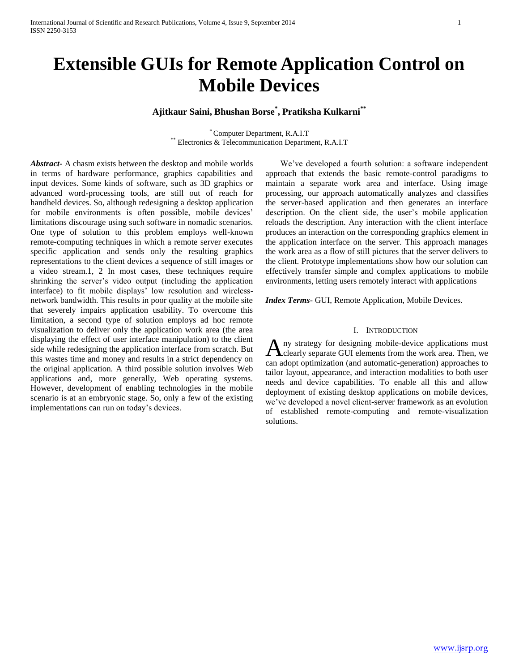# **Extensible GUIs for Remote Application Control on Mobile Devices**

# **Ajitkaur Saini, Bhushan Borse\* , Pratiksha Kulkarni\*\***

\* Computer Department, R.A.I.T \*\* Electronics & Telecommunication Department, R.A.I.T

*Abstract***-** A chasm exists between the desktop and mobile worlds in terms of hardware performance, graphics capabilities and input devices. Some kinds of software, such as 3D graphics or advanced word-processing tools, are still out of reach for handheld devices. So, although redesigning a desktop application for mobile environments is often possible, mobile devices' limitations discourage using such software in nomadic scenarios. One type of solution to this problem employs well-known remote-computing techniques in which a remote server executes specific application and sends only the resulting graphics representations to the client devices a sequence of still images or a video stream.1, 2 In most cases, these techniques require shrinking the server's video output (including the application interface) to fit mobile displays' low resolution and wirelessnetwork bandwidth. This results in poor quality at the mobile site that severely impairs application usability. To overcome this limitation, a second type of solution employs ad hoc remote visualization to deliver only the application work area (the area displaying the effect of user interface manipulation) to the client side while redesigning the application interface from scratch. But this wastes time and money and results in a strict dependency on the original application. A third possible solution involves Web applications and, more generally, Web operating systems. However, development of enabling technologies in the mobile scenario is at an embryonic stage. So, only a few of the existing implementations can run on today's devices.

 We've developed a fourth solution: a software independent approach that extends the basic remote-control paradigms to maintain a separate work area and interface. Using image processing, our approach automatically analyzes and classifies the server-based application and then generates an interface description. On the client side, the user's mobile application reloads the description. Any interaction with the client interface produces an interaction on the corresponding graphics element in the application interface on the server. This approach manages the work area as a flow of still pictures that the server delivers to the client. Prototype implementations show how our solution can effectively transfer simple and complex applications to mobile environments, letting users remotely interact with applications

*Index Terms*- GUI, Remote Application, Mobile Devices.

#### I. INTRODUCTION

ny strategy for designing mobile-device applications must A ny strategy for designing mobile-device applications must<br>clearly separate GUI elements from the work area. Then, we can adopt optimization (and automatic-generation) approaches to tailor layout, appearance, and interaction modalities to both user needs and device capabilities. To enable all this and allow deployment of existing desktop applications on mobile devices, we've developed a novel client-server framework as an evolution of established remote-computing and remote-visualization solutions.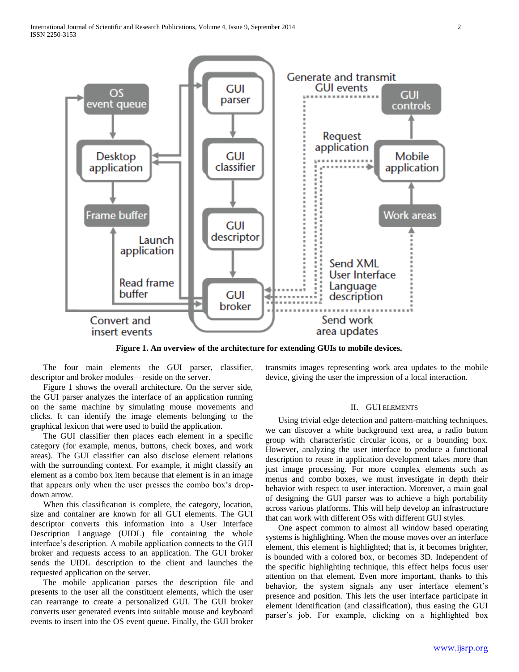

**Figure 1. An overview of the architecture for extending GUIs to mobile devices.**

 The four main elements—the GUI parser, classifier, descriptor and broker modules—reside on the server.

 Figure 1 shows the overall architecture. On the server side, the GUI parser analyzes the interface of an application running on the same machine by simulating mouse movements and clicks. It can identify the image elements belonging to the graphical lexicon that were used to build the application.

 The GUI classifier then places each element in a specific category (for example, menus, buttons, check boxes, and work areas). The GUI classifier can also disclose element relations with the surrounding context. For example, it might classify an element as a combo box item because that element is in an image that appears only when the user presses the combo box's dropdown arrow.

 When this classification is complete, the category, location, size and container are known for all GUI elements. The GUI descriptor converts this information into a User Interface Description Language (UIDL) file containing the whole interface's description. A mobile application connects to the GUI broker and requests access to an application. The GUI broker sends the UIDL description to the client and launches the requested application on the server.

 The mobile application parses the description file and presents to the user all the constituent elements, which the user can rearrange to create a personalized GUI. The GUI broker converts user generated events into suitable mouse and keyboard events to insert into the OS event queue. Finally, the GUI broker

transmits images representing work area updates to the mobile device, giving the user the impression of a local interaction.

### II. GUI ELEMENTS

 Using trivial edge detection and pattern-matching techniques, we can discover a white background text area, a radio button group with characteristic circular icons, or a bounding box. However, analyzing the user interface to produce a functional description to reuse in application development takes more than just image processing. For more complex elements such as menus and combo boxes, we must investigate in depth their behavior with respect to user interaction. Moreover, a main goal of designing the GUI parser was to achieve a high portability across various platforms. This will help develop an infrastructure that can work with different OSs with different GUI styles.

 One aspect common to almost all window based operating systems is highlighting. When the mouse moves over an interface element, this element is highlighted; that is, it becomes brighter, is bounded with a colored box, or becomes 3D. Independent of the specific highlighting technique, this effect helps focus user attention on that element. Even more important, thanks to this behavior, the system signals any user interface element's presence and position. This lets the user interface participate in element identification (and classification), thus easing the GUI parser's job. For example, clicking on a highlighted box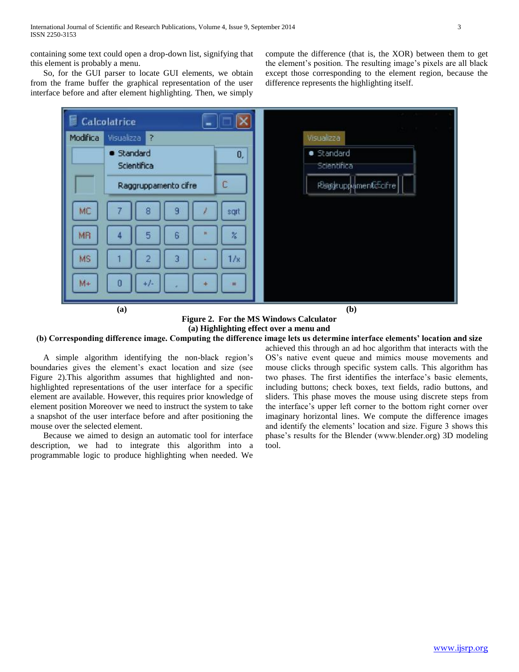containing some text could open a drop-down list, signifying that this element is probably a menu.

 So, for the GUI parser to locate GUI elements, we obtain from the frame buffer the graphical representation of the user interface before and after element highlighting. Then, we simply

compute the difference (that is, the XOR) between them to get the element's position. The resulting image's pixels are all black except those corresponding to the element region, because the difference represents the highlighting itself.



**Figure 2. For the MS Windows Calculator (a) Highlighting effect over a menu and**

## **(b) Corresponding difference image. Computing the difference image lets us determine interface elements' location and size**

 A simple algorithm identifying the non-black region's boundaries gives the element's exact location and size (see Figure 2).This algorithm assumes that highlighted and nonhighlighted representations of the user interface for a specific element are available. However, this requires prior knowledge of element position Moreover we need to instruct the system to take a snapshot of the user interface before and after positioning the mouse over the selected element.

 Because we aimed to design an automatic tool for interface description, we had to integrate this algorithm into a programmable logic to produce highlighting when needed. We

achieved this through an ad hoc algorithm that interacts with the OS's native event queue and mimics mouse movements and mouse clicks through specific system calls. This algorithm has two phases. The first identifies the interface's basic elements, including buttons; check boxes, text fields, radio buttons, and sliders. This phase moves the mouse using discrete steps from the interface's upper left corner to the bottom right corner over imaginary horizontal lines. We compute the difference images and identify the elements' location and size. Figure 3 shows this phase's results for the Blender (www.blender.org) 3D modeling tool.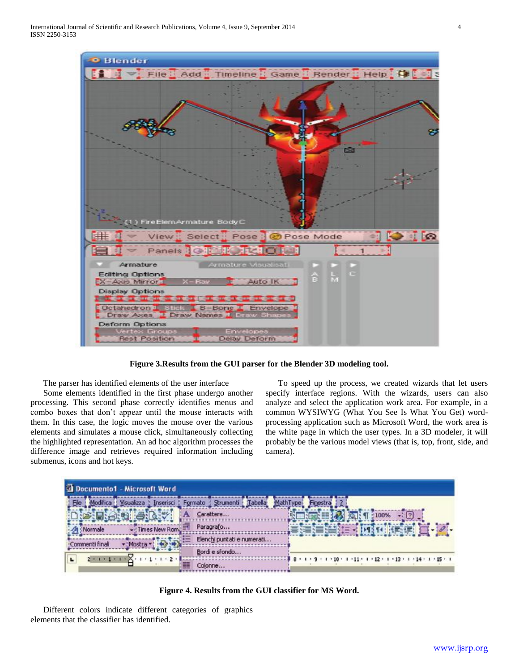

**Figure 3.Results from the GUI parser for the Blender 3D modeling tool.**

The parser has identified elements of the user interface

 Some elements identified in the first phase undergo another processing. This second phase correctly identifies menus and combo boxes that don't appear until the mouse interacts with them. In this case, the logic moves the mouse over the various elements and simulates a mouse click, simultaneously collecting the highlighted representation. An ad hoc algorithm processes the difference image and retrieves required information including submenus, icons and hot keys.

 To speed up the process, we created wizards that let users specify interface regions. With the wizards, users can also analyze and select the application work area. For example, in a common WYSIWYG (What You See Is What You Get) wordprocessing application such as Microsoft Word, the work area is the white page in which the user types. In a 3D modeler, it will probably be the various model views (that is, top, front, side, and camera).



**Figure 4. Results from the GUI classifier for MS Word.**

 Different colors indicate different categories of graphics elements that the classifier has identified.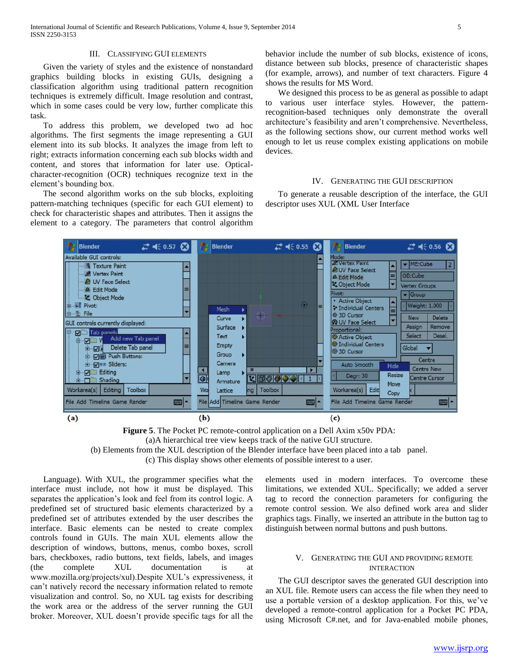### III. CLASSIFYING GUI ELEMENTS

 Given the variety of styles and the existence of nonstandard graphics building blocks in existing GUIs, designing a classification algorithm using traditional pattern recognition techniques is extremely difficult. Image resolution and contrast, which in some cases could be very low, further complicate this task.

 To address this problem, we developed two ad hoc algorithms. The first segments the image representing a GUI element into its sub blocks. It analyzes the image from left to right; extracts information concerning each sub blocks width and content, and stores that information for later use. Opticalcharacter-recognition (OCR) techniques recognize text in the element's bounding box.

 The second algorithm works on the sub blocks, exploiting pattern-matching techniques (specific for each GUI element) to check for characteristic shapes and attributes. Then it assigns the element to a category. The parameters that control algorithm

behavior include the number of sub blocks, existence of icons, distance between sub blocks, presence of characteristic shapes (for example, arrows), and number of text characters. Figure 4 shows the results for MS Word.

 We designed this process to be as general as possible to adapt to various user interface styles. However, the patternrecognition-based techniques only demonstrate the overall architecture's feasibility and aren't comprehensive. Nevertheless, as the following sections show, our current method works well enough to let us reuse complex existing applications on mobile devices.

### IV. GENERATING THE GUI DESCRIPTION

 To generate a reusable description of the interface, the GUI descriptor uses XUL (XML User Interface



**Figure 5**. The Pocket PC remote-control application on a Dell Axim x50v PDA: (a)A hierarchical tree view keeps track of the native GUI structure. (b) Elements from the XUL description of the Blender interface have been placed into a tab panel.

(c) This display shows other elements of possible interest to a user.

 Language). With XUL, the programmer specifies what the interface must include, not how it must be displayed. This separates the application's look and feel from its control logic. A predefined set of structured basic elements characterized by a predefined set of attributes extended by the user describes the interface. Basic elements can be nested to create complex controls found in GUIs. The main XUL elements allow the description of windows, buttons, menus, combo boxes, scroll bars, checkboxes, radio buttons, text fields, labels, and images (the complete XUL documentation is at www.mozilla.org/projects/xul).Despite XUL's expressiveness, it can't natively record the necessary information related to remote visualization and control. So, no XUL tag exists for describing the work area or the address of the server running the GUI broker. Moreover, XUL doesn't provide specific tags for all the

elements used in modern interfaces. To overcome these limitations, we extended XUL. Specifically; we added a server tag to record the connection parameters for configuring the remote control session. We also defined work area and slider graphics tags. Finally, we inserted an attribute in the button tag to distinguish between normal buttons and push buttons.

#### V. GENERATING THE GUI AND PROVIDING REMOTE INTERACTION

 The GUI descriptor saves the generated GUI description into an XUL file. Remote users can access the file when they need to use a portable version of a desktop application. For this, we've developed a remote-control application for a Pocket PC PDA, using Microsoft C#.net, and for Java-enabled mobile phones,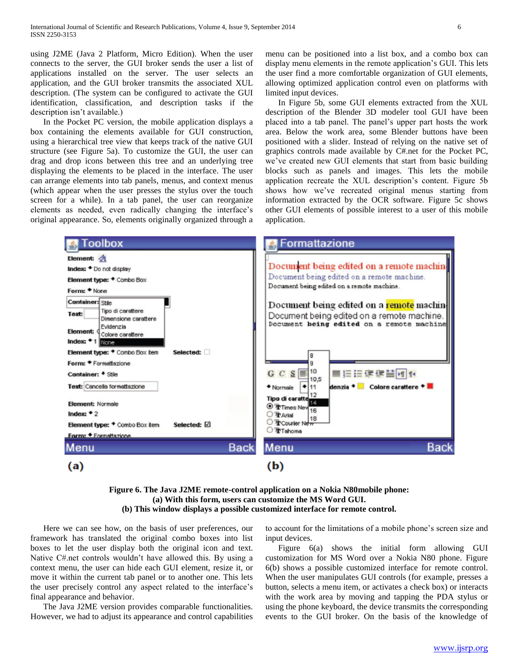using J2ME (Java 2 Platform, Micro Edition). When the user connects to the server, the GUI broker sends the user a list of applications installed on the server. The user selects an application, and the GUI broker transmits the associated XUL description. (The system can be configured to activate the GUI identification, classification, and description tasks if the description isn't available.)

 In the Pocket PC version, the mobile application displays a box containing the elements available for GUI construction, using a hierarchical tree view that keeps track of the native GUI structure (see Figure 5a). To customize the GUI, the user can drag and drop icons between this tree and an underlying tree displaying the elements to be placed in the interface. The user can arrange elements into tab panels, menus, and context menus (which appear when the user presses the stylus over the touch screen for a while). In a tab panel, the user can reorganize elements as needed, even radically changing the interface's original appearance. So, elements originally organized through a menu can be positioned into a list box, and a combo box can display menu elements in the remote application's GUI. This lets the user find a more comfortable organization of GUI elements, allowing optimized application control even on platforms with limited input devices.

 In Figure 5b, some GUI elements extracted from the XUL description of the Blender 3D modeler tool GUI have been placed into a tab panel. The panel's upper part hosts the work area. Below the work area, some Blender buttons have been positioned with a slider. Instead of relying on the native set of graphics controls made available by C#.net for the Pocket PC, we've created new GUI elements that start from basic building blocks such as panels and images. This lets the mobile application recreate the XUL description's content. Figure 5b shows how we've recreated original menus starting from information extracted by the OCR software. Figure 5c shows other GUI elements of possible interest to a user of this mobile application.



**Figure 6. The Java J2ME remote-control application on a Nokia N80mobile phone: (a) With this form, users can customize the MS Word GUI. (b) This window displays a possible customized interface for remote control.**

 Here we can see how, on the basis of user preferences, our framework has translated the original combo boxes into list boxes to let the user display both the original icon and text. Native C#.net controls wouldn't have allowed this. By using a context menu, the user can hide each GUI element, resize it, or move it within the current tab panel or to another one. This lets the user precisely control any aspect related to the interface's final appearance and behavior.

 The Java J2ME version provides comparable functionalities. However, we had to adjust its appearance and control capabilities to account for the limitations of a mobile phone's screen size and input devices.

 Figure 6(a) shows the initial form allowing GUI customization for MS Word over a Nokia N80 phone. Figure 6(b) shows a possible customized interface for remote control. When the user manipulates GUI controls (for example, presses a button, selects a menu item, or activates a check box) or interacts with the work area by moving and tapping the PDA stylus or using the phone keyboard, the device transmits the corresponding events to the GUI broker. On the basis of the knowledge of